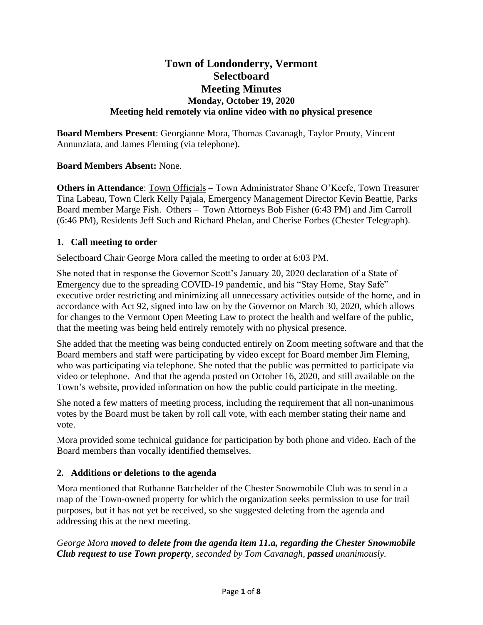# **Town of Londonderry, Vermont Selectboard Meeting Minutes Monday, October 19, 2020 Meeting held remotely via online video with no physical presence**

**Board Members Present**: Georgianne Mora, Thomas Cavanagh, Taylor Prouty, Vincent Annunziata, and James Fleming (via telephone).

# **Board Members Absent:** None.

**Others in Attendance**: Town Officials – Town Administrator Shane O'Keefe, Town Treasurer Tina Labeau, Town Clerk Kelly Pajala, Emergency Management Director Kevin Beattie, Parks Board member Marge Fish. Others – Town Attorneys Bob Fisher (6:43 PM) and Jim Carroll (6:46 PM), Residents Jeff Such and Richard Phelan, and Cherise Forbes (Chester Telegraph).

# **1. Call meeting to order**

Selectboard Chair George Mora called the meeting to order at 6:03 PM.

She noted that in response the Governor Scott's January 20, 2020 declaration of a State of Emergency due to the spreading COVID-19 pandemic, and his "Stay Home, Stay Safe" executive order restricting and minimizing all unnecessary activities outside of the home, and in accordance with Act 92, signed into law on by the Governor on March 30, 2020, which allows for changes to the Vermont Open Meeting Law to protect the health and welfare of the public, that the meeting was being held entirely remotely with no physical presence.

She added that the meeting was being conducted entirely on Zoom meeting software and that the Board members and staff were participating by video except for Board member Jim Fleming, who was participating via telephone. She noted that the public was permitted to participate via video or telephone. And that the agenda posted on October 16, 2020, and still available on the Town's website, provided information on how the public could participate in the meeting.

She noted a few matters of meeting process, including the requirement that all non-unanimous votes by the Board must be taken by roll call vote, with each member stating their name and vote.

Mora provided some technical guidance for participation by both phone and video. Each of the Board members than vocally identified themselves.

# **2. Additions or deletions to the agenda**

Mora mentioned that Ruthanne Batchelder of the Chester Snowmobile Club was to send in a map of the Town-owned property for which the organization seeks permission to use for trail purposes, but it has not yet be received, so she suggested deleting from the agenda and addressing this at the next meeting.

*George Mora moved to delete from the agenda item 11.a, regarding the Chester Snowmobile Club request to use Town property, seconded by Tom Cavanagh, passed unanimously.*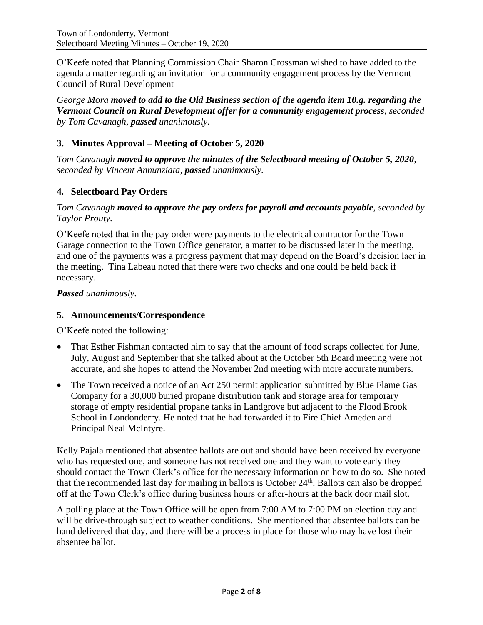O'Keefe noted that Planning Commission Chair Sharon Crossman wished to have added to the agenda a matter regarding an invitation for a community engagement process by the Vermont Council of Rural Development

*George Mora moved to add to the Old Business section of the agenda item 10.g. regarding the Vermont Council on Rural Development offer for a community engagement process, seconded by Tom Cavanagh, passed unanimously.*

# **3. Minutes Approval – Meeting of October 5, 2020**

*Tom Cavanagh moved to approve the minutes of the Selectboard meeting of October 5, 2020, seconded by Vincent Annunziata, passed unanimously.*

# **4. Selectboard Pay Orders**

### *Tom Cavanagh moved to approve the pay orders for payroll and accounts payable, seconded by Taylor Prouty.*

O'Keefe noted that in the pay order were payments to the electrical contractor for the Town Garage connection to the Town Office generator, a matter to be discussed later in the meeting, and one of the payments was a progress payment that may depend on the Board's decision laer in the meeting. Tina Labeau noted that there were two checks and one could be held back if necessary.

### *Passed unanimously.*

### **5. Announcements/Correspondence**

O'Keefe noted the following:

- That Esther Fishman contacted him to say that the amount of food scraps collected for June, July, August and September that she talked about at the October 5th Board meeting were not accurate, and she hopes to attend the November 2nd meeting with more accurate numbers.
- The Town received a notice of an Act 250 permit application submitted by Blue Flame Gas Company for a 30,000 buried propane distribution tank and storage area for temporary storage of empty residential propane tanks in Landgrove but adjacent to the Flood Brook School in Londonderry. He noted that he had forwarded it to Fire Chief Ameden and Principal Neal McIntyre.

Kelly Pajala mentioned that absentee ballots are out and should have been received by everyone who has requested one, and someone has not received one and they want to vote early they should contact the Town Clerk's office for the necessary information on how to do so. She noted that the recommended last day for mailing in ballots is October 24<sup>th</sup>. Ballots can also be dropped off at the Town Clerk's office during business hours or after-hours at the back door mail slot.

A polling place at the Town Office will be open from 7:00 AM to 7:00 PM on election day and will be drive-through subject to weather conditions. She mentioned that absentee ballots can be hand delivered that day, and there will be a process in place for those who may have lost their absentee ballot.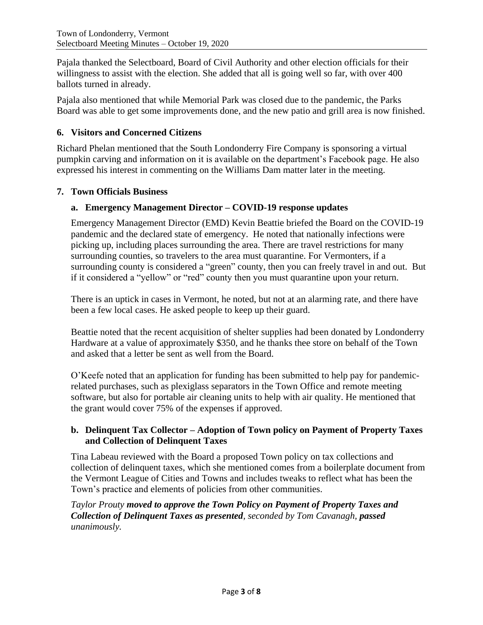Pajala thanked the Selectboard, Board of Civil Authority and other election officials for their willingness to assist with the election. She added that all is going well so far, with over 400 ballots turned in already.

Pajala also mentioned that while Memorial Park was closed due to the pandemic, the Parks Board was able to get some improvements done, and the new patio and grill area is now finished.

# **6. Visitors and Concerned Citizens**

Richard Phelan mentioned that the South Londonderry Fire Company is sponsoring a virtual pumpkin carving and information on it is available on the department's Facebook page. He also expressed his interest in commenting on the Williams Dam matter later in the meeting.

# **7. Town Officials Business**

# **a. Emergency Management Director – COVID-19 response updates**

Emergency Management Director (EMD) Kevin Beattie briefed the Board on the COVID-19 pandemic and the declared state of emergency. He noted that nationally infections were picking up, including places surrounding the area. There are travel restrictions for many surrounding counties, so travelers to the area must quarantine. For Vermonters, if a surrounding county is considered a "green" county, then you can freely travel in and out. But if it considered a "yellow" or "red" county then you must quarantine upon your return.

There is an uptick in cases in Vermont, he noted, but not at an alarming rate, and there have been a few local cases. He asked people to keep up their guard.

Beattie noted that the recent acquisition of shelter supplies had been donated by Londonderry Hardware at a value of approximately \$350, and he thanks thee store on behalf of the Town and asked that a letter be sent as well from the Board.

O'Keefe noted that an application for funding has been submitted to help pay for pandemicrelated purchases, such as plexiglass separators in the Town Office and remote meeting software, but also for portable air cleaning units to help with air quality. He mentioned that the grant would cover 75% of the expenses if approved.

# **b. Delinquent Tax Collector – Adoption of Town policy on Payment of Property Taxes and Collection of Delinquent Taxes**

Tina Labeau reviewed with the Board a proposed Town policy on tax collections and collection of delinquent taxes, which she mentioned comes from a boilerplate document from the Vermont League of Cities and Towns and includes tweaks to reflect what has been the Town's practice and elements of policies from other communities.

*Taylor Prouty moved to approve the Town Policy on Payment of Property Taxes and Collection of Delinquent Taxes as presented, seconded by Tom Cavanagh, passed unanimously.*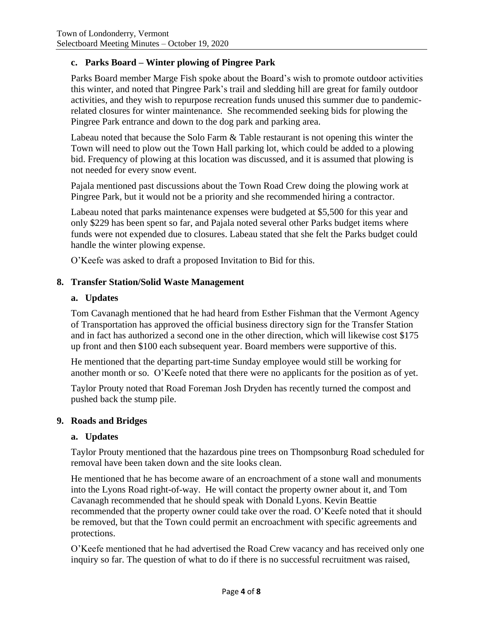# **c. Parks Board – Winter plowing of Pingree Park**

Parks Board member Marge Fish spoke about the Board's wish to promote outdoor activities this winter, and noted that Pingree Park's trail and sledding hill are great for family outdoor activities, and they wish to repurpose recreation funds unused this summer due to pandemicrelated closures for winter maintenance. She recommended seeking bids for plowing the Pingree Park entrance and down to the dog park and parking area.

Labeau noted that because the Solo Farm & Table restaurant is not opening this winter the Town will need to plow out the Town Hall parking lot, which could be added to a plowing bid. Frequency of plowing at this location was discussed, and it is assumed that plowing is not needed for every snow event.

Pajala mentioned past discussions about the Town Road Crew doing the plowing work at Pingree Park, but it would not be a priority and she recommended hiring a contractor.

Labeau noted that parks maintenance expenses were budgeted at \$5,500 for this year and only \$229 has been spent so far, and Pajala noted several other Parks budget items where funds were not expended due to closures. Labeau stated that she felt the Parks budget could handle the winter plowing expense.

O'Keefe was asked to draft a proposed Invitation to Bid for this.

#### **8. Transfer Station/Solid Waste Management**

#### **a. Updates**

Tom Cavanagh mentioned that he had heard from Esther Fishman that the Vermont Agency of Transportation has approved the official business directory sign for the Transfer Station and in fact has authorized a second one in the other direction, which will likewise cost \$175 up front and then \$100 each subsequent year. Board members were supportive of this.

He mentioned that the departing part-time Sunday employee would still be working for another month or so. O'Keefe noted that there were no applicants for the position as of yet.

Taylor Prouty noted that Road Foreman Josh Dryden has recently turned the compost and pushed back the stump pile.

#### **9. Roads and Bridges**

#### **a. Updates**

Taylor Prouty mentioned that the hazardous pine trees on Thompsonburg Road scheduled for removal have been taken down and the site looks clean.

He mentioned that he has become aware of an encroachment of a stone wall and monuments into the Lyons Road right-of-way. He will contact the property owner about it, and Tom Cavanagh recommended that he should speak with Donald Lyons. Kevin Beattie recommended that the property owner could take over the road. O'Keefe noted that it should be removed, but that the Town could permit an encroachment with specific agreements and protections.

O'Keefe mentioned that he had advertised the Road Crew vacancy and has received only one inquiry so far. The question of what to do if there is no successful recruitment was raised,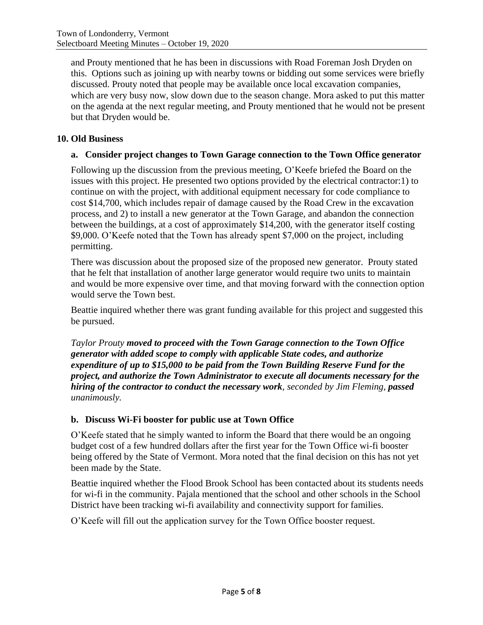and Prouty mentioned that he has been in discussions with Road Foreman Josh Dryden on this. Options such as joining up with nearby towns or bidding out some services were briefly discussed. Prouty noted that people may be available once local excavation companies, which are very busy now, slow down due to the season change. Mora asked to put this matter on the agenda at the next regular meeting, and Prouty mentioned that he would not be present but that Dryden would be.

# **10. Old Business**

### **a. Consider project changes to Town Garage connection to the Town Office generator**

Following up the discussion from the previous meeting, O'Keefe briefed the Board on the issues with this project. He presented two options provided by the electrical contractor:1) to continue on with the project, with additional equipment necessary for code compliance to cost \$14,700, which includes repair of damage caused by the Road Crew in the excavation process, and 2) to install a new generator at the Town Garage, and abandon the connection between the buildings, at a cost of approximately \$14,200, with the generator itself costing \$9,000. O'Keefe noted that the Town has already spent \$7,000 on the project, including permitting.

There was discussion about the proposed size of the proposed new generator. Prouty stated that he felt that installation of another large generator would require two units to maintain and would be more expensive over time, and that moving forward with the connection option would serve the Town best.

Beattie inquired whether there was grant funding available for this project and suggested this be pursued.

*Taylor Prouty moved to proceed with the Town Garage connection to the Town Office generator with added scope to comply with applicable State codes, and authorize expenditure of up to \$15,000 to be paid from the Town Building Reserve Fund for the project, and authorize the Town Administrator to execute all documents necessary for the hiring of the contractor to conduct the necessary work, seconded by Jim Fleming, passed unanimously.*

# **b. Discuss Wi-Fi booster for public use at Town Office**

O'Keefe stated that he simply wanted to inform the Board that there would be an ongoing budget cost of a few hundred dollars after the first year for the Town Office wi-fi booster being offered by the State of Vermont. Mora noted that the final decision on this has not yet been made by the State.

Beattie inquired whether the Flood Brook School has been contacted about its students needs for wi-fi in the community. Pajala mentioned that the school and other schools in the School District have been tracking wi-fi availability and connectivity support for families.

O'Keefe will fill out the application survey for the Town Office booster request.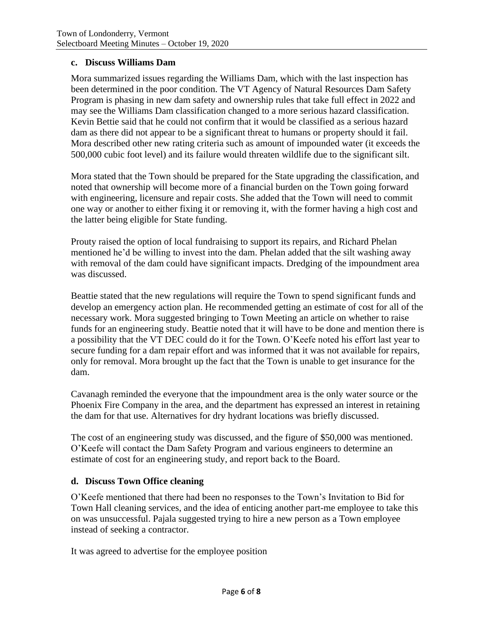### **c. Discuss Williams Dam**

Mora summarized issues regarding the Williams Dam, which with the last inspection has been determined in the poor condition. The VT Agency of Natural Resources Dam Safety Program is phasing in new dam safety and ownership rules that take full effect in 2022 and may see the Williams Dam classification changed to a more serious hazard classification. Kevin Bettie said that he could not confirm that it would be classified as a serious hazard dam as there did not appear to be a significant threat to humans or property should it fail. Mora described other new rating criteria such as amount of impounded water (it exceeds the 500,000 cubic foot level) and its failure would threaten wildlife due to the significant silt.

Mora stated that the Town should be prepared for the State upgrading the classification, and noted that ownership will become more of a financial burden on the Town going forward with engineering, licensure and repair costs. She added that the Town will need to commit one way or another to either fixing it or removing it, with the former having a high cost and the latter being eligible for State funding.

Prouty raised the option of local fundraising to support its repairs, and Richard Phelan mentioned he'd be willing to invest into the dam. Phelan added that the silt washing away with removal of the dam could have significant impacts. Dredging of the impoundment area was discussed.

Beattie stated that the new regulations will require the Town to spend significant funds and develop an emergency action plan. He recommended getting an estimate of cost for all of the necessary work. Mora suggested bringing to Town Meeting an article on whether to raise funds for an engineering study. Beattie noted that it will have to be done and mention there is a possibility that the VT DEC could do it for the Town. O'Keefe noted his effort last year to secure funding for a dam repair effort and was informed that it was not available for repairs, only for removal. Mora brought up the fact that the Town is unable to get insurance for the dam.

Cavanagh reminded the everyone that the impoundment area is the only water source or the Phoenix Fire Company in the area, and the department has expressed an interest in retaining the dam for that use. Alternatives for dry hydrant locations was briefly discussed.

The cost of an engineering study was discussed, and the figure of \$50,000 was mentioned. O'Keefe will contact the Dam Safety Program and various engineers to determine an estimate of cost for an engineering study, and report back to the Board.

# **d. Discuss Town Office cleaning**

O'Keefe mentioned that there had been no responses to the Town's Invitation to Bid for Town Hall cleaning services, and the idea of enticing another part-me employee to take this on was unsuccessful. Pajala suggested trying to hire a new person as a Town employee instead of seeking a contractor.

It was agreed to advertise for the employee position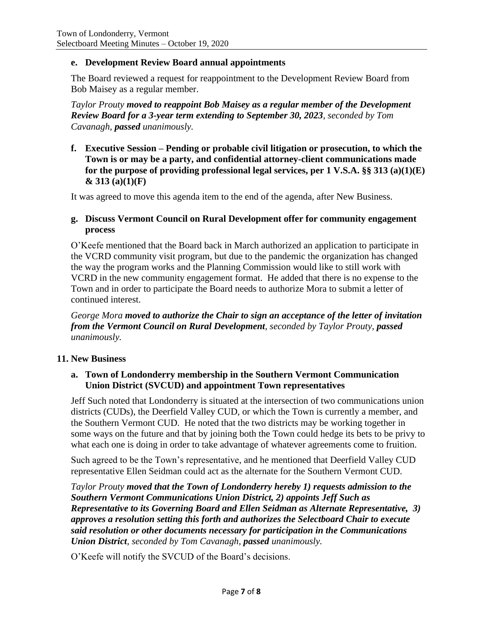### **e. Development Review Board annual appointments**

The Board reviewed a request for reappointment to the Development Review Board from Bob Maisey as a regular member.

*Taylor Prouty moved to reappoint Bob Maisey as a regular member of the Development Review Board for a 3-year term extending to September 30, 2023, seconded by Tom Cavanagh, passed unanimously.*

**f. Executive Session – Pending or probable civil litigation or prosecution, to which the Town is or may be a party, and confidential attorney-client communications made for the purpose of providing professional legal services, per 1 V.S.A. §§ 313 (a)(1)(E) & 313 (a)(1)(F)**

It was agreed to move this agenda item to the end of the agenda, after New Business.

### **g. Discuss Vermont Council on Rural Development offer for community engagement process**

O'Keefe mentioned that the Board back in March authorized an application to participate in the VCRD community visit program, but due to the pandemic the organization has changed the way the program works and the Planning Commission would like to still work with VCRD in the new community engagement format. He added that there is no expense to the Town and in order to participate the Board needs to authorize Mora to submit a letter of continued interest.

*George Mora moved to authorize the Chair to sign an acceptance of the letter of invitation from the Vermont Council on Rural Development, seconded by Taylor Prouty, passed unanimously.*

#### **11. New Business**

### **a. Town of Londonderry membership in the Southern Vermont Communication Union District (SVCUD) and appointment Town representatives**

Jeff Such noted that Londonderry is situated at the intersection of two communications union districts (CUDs), the Deerfield Valley CUD, or which the Town is currently a member, and the Southern Vermont CUD. He noted that the two districts may be working together in some ways on the future and that by joining both the Town could hedge its bets to be privy to what each one is doing in order to take advantage of whatever agreements come to fruition.

Such agreed to be the Town's representative, and he mentioned that Deerfield Valley CUD representative Ellen Seidman could act as the alternate for the Southern Vermont CUD.

*Taylor Prouty moved that the Town of Londonderry hereby 1) requests admission to the Southern Vermont Communications Union District, 2) appoints Jeff Such as Representative to its Governing Board and Ellen Seidman as Alternate Representative, 3) approves a resolution setting this forth and authorizes the Selectboard Chair to execute said resolution or other documents necessary for participation in the Communications Union District, seconded by Tom Cavanagh, passed unanimously.*

O'Keefe will notify the SVCUD of the Board's decisions.